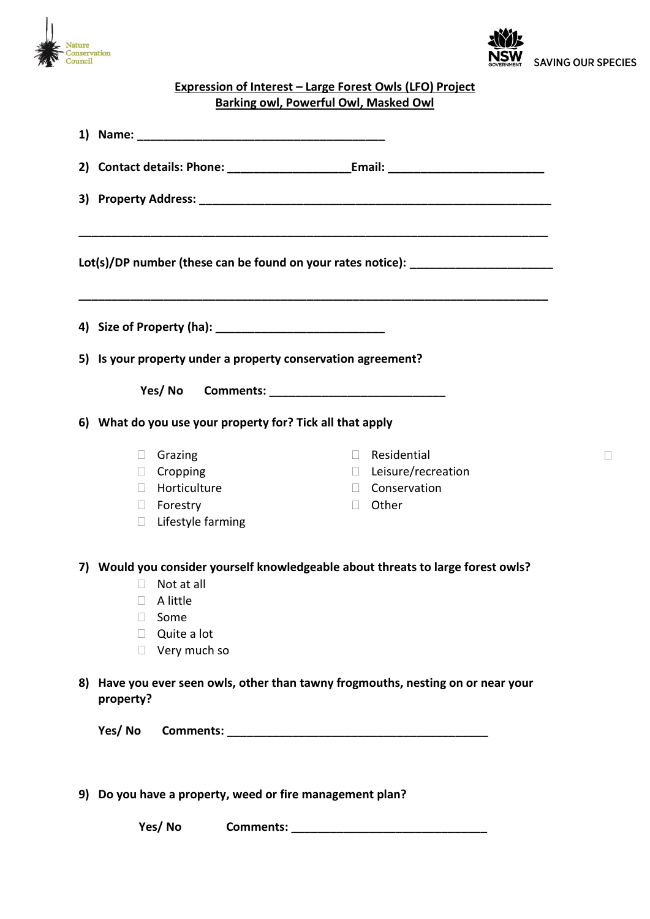



 $\Box$ 

## **Expression of Interest – Large Forest Owls (LFO) Project Barking owl, Powerful Owl, Masked Owl**

| Lot(s)/DP number (these can be found on your rates notice): ____________________ |                                                              |                                                                                                                                                   |  |        |                                                                            |  |
|----------------------------------------------------------------------------------|--------------------------------------------------------------|---------------------------------------------------------------------------------------------------------------------------------------------------|--|--------|----------------------------------------------------------------------------|--|
|                                                                                  |                                                              |                                                                                                                                                   |  |        |                                                                            |  |
|                                                                                  | 5) Is your property under a property conservation agreement? |                                                                                                                                                   |  |        |                                                                            |  |
|                                                                                  |                                                              |                                                                                                                                                   |  |        |                                                                            |  |
|                                                                                  |                                                              |                                                                                                                                                   |  |        |                                                                            |  |
|                                                                                  | 6) What do you use your property for? Tick all that apply    |                                                                                                                                                   |  |        |                                                                            |  |
|                                                                                  | $\Box$<br>$\Box$<br>$\Box$                                   | Grazing<br>$\Box$ Cropping<br>Horticulture<br>$\Box$ Forestry<br>Lifestyle farming                                                                |  | $\Box$ | $\Box$ Residential<br>$\Box$ Leisure/recreation<br>□ Conservation<br>Other |  |
|                                                                                  | $\Box$<br>$\Box$<br>$\Box$                                   | 7) Would you consider yourself knowledgeable about threats to large forest owls?<br>Not at all<br>A little<br>Some<br>Quite a lot<br>Very much so |  |        |                                                                            |  |
|                                                                                  | property?                                                    | 8) Have you ever seen owls, other than tawny frogmouths, nesting on or near your                                                                  |  |        |                                                                            |  |
|                                                                                  | Yes/No                                                       |                                                                                                                                                   |  |        |                                                                            |  |
|                                                                                  | 9) Do you have a property, weed or fire management plan?     |                                                                                                                                                   |  |        |                                                                            |  |

 **Yes/ No Comments: \_\_\_\_\_\_\_\_\_\_\_\_\_\_\_\_\_\_\_\_\_\_\_\_\_\_\_\_\_\_**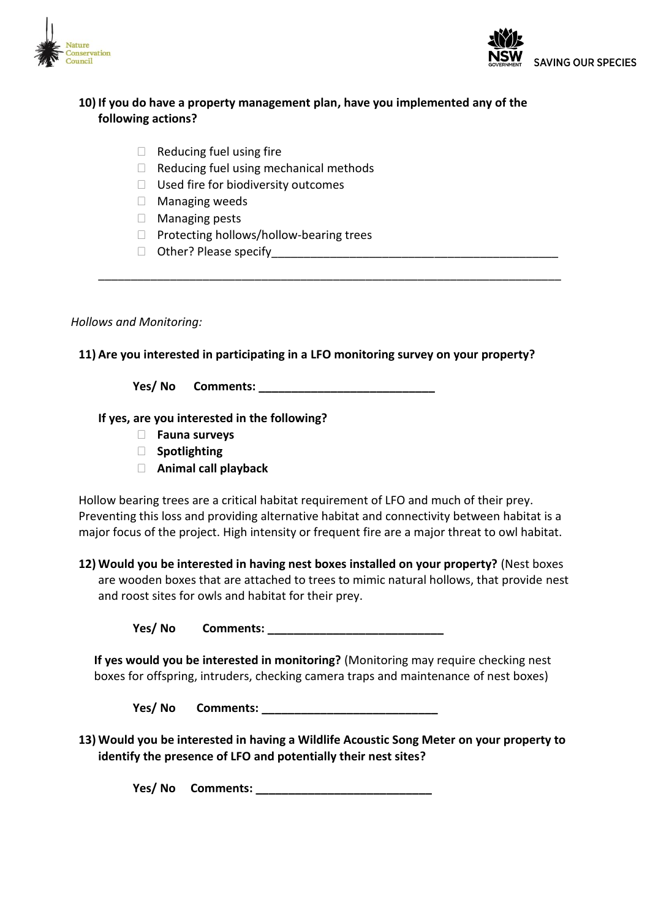



## **10) If you do have a property management plan, have you implemented any of the following actions?**

- $\Box$  Reducing fuel using fire
- $\Box$  Reducing fuel using mechanical methods
- $\Box$  Used fire for biodiversity outcomes
- Managing weeds
- □ Managing pests
- $\Box$  Protecting hollows/hollow-bearing trees
- $\Box$  Other? Please specify

## *Hollows and Monitoring:*

## **11) Are you interested in participating in a LFO monitoring survey on your property?**

\_\_\_\_\_\_\_\_\_\_\_\_\_\_\_\_\_\_\_\_\_\_\_\_\_\_\_\_\_\_\_\_\_\_\_\_\_\_\_\_\_\_\_\_\_\_\_\_\_\_\_\_\_\_\_\_\_\_\_\_\_\_\_\_\_\_\_\_\_\_\_

**Yes/ No Comments: \_\_\_\_\_\_\_\_\_\_\_\_\_\_\_\_\_\_\_\_\_\_\_\_\_\_\_**

**If yes, are you interested in the following?**

- **Fauna surveys**
- **Spotlighting**
- **Animal call playback**

Hollow bearing trees are a critical habitat requirement of LFO and much of their prey. Preventing this loss and providing alternative habitat and connectivity between habitat is a major focus of the project. High intensity or frequent fire are a major threat to owl habitat.

**12) Would you be interested in having nest boxes installed on your property?** (Nest boxes are wooden boxes that are attached to trees to mimic natural hollows, that provide nest and roost sites for owls and habitat for their prey.

**Yes/ No Comments:** 

**If yes would you be interested in monitoring?** (Monitoring may require checking nest boxes for offspring, intruders, checking camera traps and maintenance of nest boxes)

**Yes/ No Comments: \_\_\_\_\_\_\_\_\_\_\_\_\_\_\_\_\_\_\_\_\_\_\_\_\_\_\_**

**13) Would you be interested in having a Wildlife Acoustic Song Meter on your property to identify the presence of LFO and potentially their nest sites?**

**Yes/ No Comments: \_\_\_\_\_\_\_\_\_\_\_\_\_\_\_\_\_\_\_\_\_\_\_\_\_\_\_**